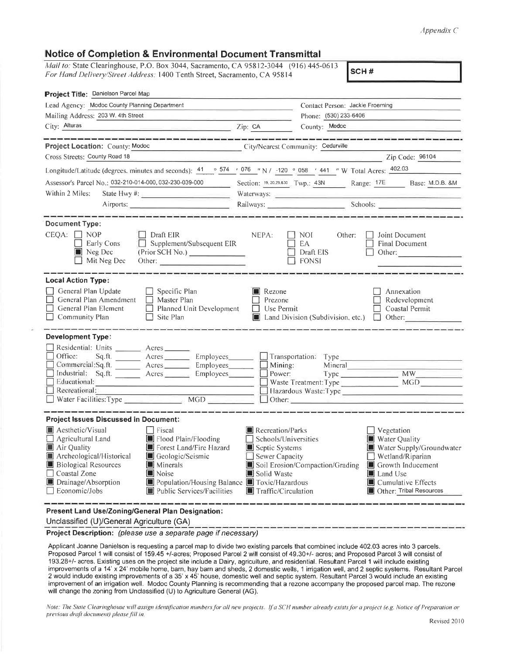## $Appendix C$

## **Notice of Completion & Environmental Document Transmittal**

Mail to: State Clearinghouse, P.O. Box 3044, Sacramento, CA 95812-3044 (916) 445-0613 SCH# For Hand Delivery/Street Address: 1400 Tenth Street, Sacramento, CA 95814

| Lead Agency: Modoc County Planning Department                                                                                                                                                                                  |                                                              |                                                 |                                                                                                      |  |
|--------------------------------------------------------------------------------------------------------------------------------------------------------------------------------------------------------------------------------|--------------------------------------------------------------|-------------------------------------------------|------------------------------------------------------------------------------------------------------|--|
| Mailing Address: 203 W. 4th Street                                                                                                                                                                                             |                                                              |                                                 | Contact Person: Jackie Froeming<br>Phone: (530) 233-6406                                             |  |
| City: Alturas                                                                                                                                                                                                                  | Zip: CA                                                      | County: Modoc                                   |                                                                                                      |  |
| والمواسعة معوانات وسنوابط بطواطئ سيوميون مسومي<br>Project Location: County: Modoc                                                                                                                                              |                                                              | City/Nearest Community: Cedarville              |                                                                                                      |  |
| Cross Streets: County Road 18                                                                                                                                                                                                  |                                                              |                                                 | Zip Code: 96104                                                                                      |  |
| Longitude/Latitude (degrees, minutes and seconds): $\frac{41}{100}$ $\frac{674}{100}$ $\frac{076}{100}$ N / -120 $\degree$ 058 $\degree$ 441 $\degree$ W Total Acres: $\frac{402.03}{1000}$                                    |                                                              |                                                 |                                                                                                      |  |
| Assessor's Parcel No.: 032-210-014-000, 032-230-039-000<br><b>Contract Contract</b>                                                                                                                                            |                                                              |                                                 | Section: 19. 20, 29, 830 Twp.: 43N Range: 17E Base: M.D.B. &M                                        |  |
| Within 2 Miles:<br>State Hwy #: $\frac{1}{2}$                                                                                                                                                                                  |                                                              |                                                 |                                                                                                      |  |
| Airports:                                                                                                                                                                                                                      |                                                              |                                                 | Railways: Schools: Schools:                                                                          |  |
| <b>Document Type:</b>                                                                                                                                                                                                          |                                                              |                                                 |                                                                                                      |  |
| $CEOA: \Box NOP$<br>$\Box$ Draft EIR<br>Early Cons<br>Supplement/Subsequent EIR<br>$\blacksquare$ Neg Dec<br>(Prior SCH No.)<br>$\Box$ Mit Neg Dec<br>Other:                                                                   | NEPA:                                                        | NOI —<br>EA<br>$\Box$ Draft EIS<br>$\Box$ fonse | $\Box$ Joint Document<br>Other:<br>Final Document<br>Other:                                          |  |
| <b>Local Action Type:</b><br>General Plan Update<br>$\Box$ Specific Plan<br>General Plan Amendment<br>Master Plan<br>General Plan Element<br>Planned Unit Development<br>$\Box$ Community Plan<br>$\Box$ Site Plan             | $\blacksquare$ Rezone<br>$\Box$ Prezone<br>$\Box$ Use Permit |                                                 | Annexation<br>Redevelopment<br>$\Box$ Coastal Permit<br>■ Land Division (Subdivision. etc.) □ Other: |  |
| <b>Development Type:</b>                                                                                                                                                                                                       |                                                              |                                                 |                                                                                                      |  |
| Residential: Units ________ Acres _______<br>Sq.ft. Acres Employees Ransportation Type<br>Office:                                                                                                                              |                                                              |                                                 |                                                                                                      |  |
| Commercial:Sq.ft. Acres Employees Mining: Minimagnet Minimagnet Minimagnet Minimagnet Minimagnet Minimagnet Minimagnet Minimagnet Minimagnet Minimagnet Minimagnet Minimagnet Minimagnet Minimagnet Minimagnet Minimagnet Mini |                                                              |                                                 |                                                                                                      |  |
| Industrial: Sq.ft. ______ Acres _______ Employees______<br>Educational:                                                                                                                                                        |                                                              |                                                 | Waste Treatment: Type MGD                                                                            |  |
| the control of the control of the control of the control of the control of<br>Recreational:                                                                                                                                    |                                                              |                                                 | Hazardous Waste: Type                                                                                |  |
| △ Recreational:<br>■ Water Facilities: Type △ NGD △ NGD<br>MGD                                                                                                                                                                 |                                                              | $\Box$ Other:                                   |                                                                                                      |  |
| Project Issues Discussed in Document:                                                                                                                                                                                          |                                                              |                                                 |                                                                                                      |  |
| Aesthetic/Visual<br>□ Fiscal                                                                                                                                                                                                   | <b>■</b> Recreation/Parks<br>$\Box$ Vegetation               |                                                 |                                                                                                      |  |
| Agricultural Land<br>Flood Plain/Flooding<br>Air Quality<br>Forest Land/Fire Hazard                                                                                                                                            | Schools/Universities<br>Septic Systems                       |                                                 | Water Quality<br>Water Supply/Groundwater                                                            |  |
| Archeological/Historical<br>Geologic/Seismic                                                                                                                                                                                   | Sewer Capacity<br>ΙI                                         |                                                 | Wetland/Riparian                                                                                     |  |
| <b>Biological Resources</b><br>Minerals                                                                                                                                                                                        | Soil Erosion/Compaction/Grading<br>Growth Inducement         |                                                 |                                                                                                      |  |
| $\Box$ Coastal Zone<br>Noise<br>Drainage/Absorption<br>Population/Housing Balance Toxic/Hazardous                                                                                                                              | Solid Waste                                                  |                                                 | ■ Land Use<br><b>III</b> Cumulative Effects                                                          |  |
|                                                                                                                                                                                                                                |                                                              |                                                 |                                                                                                      |  |

Unclassified (U)/General Agriculture (GA)

Project Description: (please use a separate page if necessary)

Applicant Joanne Danielson is requesting a parcel map to divide two existing parcels that combined include 402.03 acres into 3 parcels. Proposed Parcel 1 will consist of 159.45 +/-acres; Proposed Parcel 2 will consist of 49.30+/- acres; and Proposed Parcel 3 will consist of 193.28+/- acres. Existing uses on the project site include a Dairy, agriculture, and residential. Resultant Parcel 1 will include existing improvements of a 14' x 24' mobile home, barn, hay barn and sheds, 2 domestic wells, 1 irrigation well, and 2 septic systems. Resultant Parcel 2 would include existing improvements of a 35' x 45' house, domestic well and septic system. Resultant Parcel 3 would include an existing improvement of an irrigation well. Modoc County Planning is recommending that a rezone accompany the proposed parcel map. The rezone will change the zoning from Unclassified (U) to Agriculture General (AG).

Note: The State Clearinghouse will assign identification numbers for all new projects. If a SCH number already exists for a project (e.g. Notice of Preparation or previous draft document) please fill in.